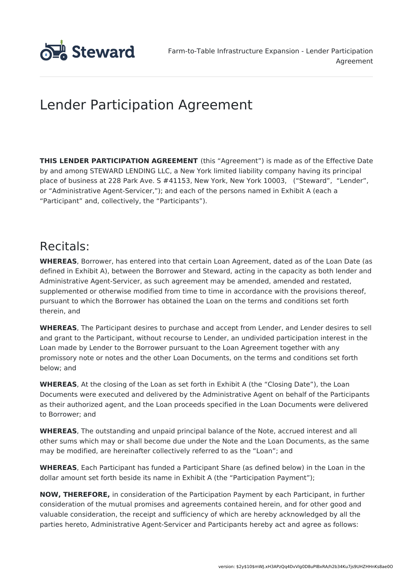

# Lender Participation Agreement

**THIS LENDER PARTICIPATION AGREEMENT** (this "Agreement") is made as of the Effective Date by and among STEWARD LENDING LLC, a New York limited liability company having its principal place of business at 228 Park Ave. S #41153, New York, New York 10003, ("Steward", "Lender", or "Administrative Agent-Servicer,"); and each of the persons named in Exhibit A (each a "Participant" and, collectively, the "Participants").

### Recitals:

**WHEREAS**, Borrower, has entered into that certain Loan Agreement, dated as of the Loan Date (as defined in Exhibit A), between the Borrower and Steward, acting in the capacity as both lender and Administrative Agent-Servicer, as such agreement may be amended, amended and restated, supplemented or otherwise modified from time to time in accordance with the provisions thereof, pursuant to which the Borrower has obtained the Loan on the terms and conditions set forth therein, and

**WHEREAS**, The Participant desires to purchase and accept from Lender, and Lender desires to sell and grant to the Participant, without recourse to Lender, an undivided participation interest in the Loan made by Lender to the Borrower pursuant to the Loan Agreement together with any promissory note or notes and the other Loan Documents, on the terms and conditions set forth below; and

**WHEREAS**, At the closing of the Loan as set forth in Exhibit A (the "Closing Date"), the Loan Documents were executed and delivered by the Administrative Agent on behalf of the Participants as their authorized agent, and the Loan proceeds specified in the Loan Documents were delivered to Borrower; and

**WHEREAS**, The outstanding and unpaid principal balance of the Note, accrued interest and all other sums which may or shall become due under the Note and the Loan Documents, as the same may be modified, are hereinafter collectively referred to as the "Loan"; and

**WHEREAS**, Each Participant has funded a Participant Share (as defined below) in the Loan in the dollar amount set forth beside its name in Exhibit A (the "Participation Payment");

**NOW, THEREFORE,** in consideration of the Participation Payment by each Participant, in further consideration of the mutual promises and agreements contained herein, and for other good and valuable consideration, the receipt and sufficiency of which are hereby acknowledged by all the parties hereto, Administrative Agent-Servicer and Participants hereby act and agree as follows: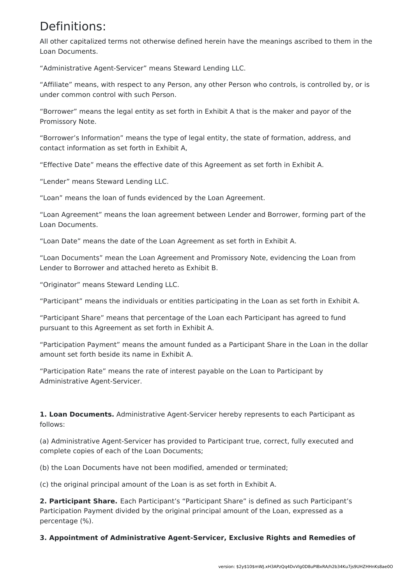### Definitions:

All other capitalized terms not otherwise defined herein have the meanings ascribed to them in the Loan Documents.

"Administrative Agent-Servicer" means Steward Lending LLC.

"Affiliate" means, with respect to any Person, any other Person who controls, is controlled by, or is under common control with such Person.

"Borrower" means the legal entity as set forth in Exhibit A that is the maker and payor of the Promissory Note.

"Borrower's Information" means the type of legal entity, the state of formation, address, and contact information as set forth in Exhibit A,

"Effective Date" means the effective date of this Agreement as set forth in Exhibit A.

"Lender" means Steward Lending LLC.

"Loan" means the loan of funds evidenced by the Loan Agreement.

"Loan Agreement" means the loan agreement between Lender and Borrower, forming part of the Loan Documents.

"Loan Date" means the date of the Loan Agreement as set forth in Exhibit A.

"Loan Documents" mean the Loan Agreement and Promissory Note, evidencing the Loan from Lender to Borrower and attached hereto as Exhibit B.

"Originator" means Steward Lending LLC.

"Participant" means the individuals or entities participating in the Loan as set forth in Exhibit A.

"Participant Share" means that percentage of the Loan each Participant has agreed to fund pursuant to this Agreement as set forth in Exhibit A.

"Participation Payment" means the amount funded as a Participant Share in the Loan in the dollar amount set forth beside its name in Exhibit A.

"Participation Rate" means the rate of interest payable on the Loan to Participant by Administrative Agent-Servicer.

**1. Loan Documents.** Administrative Agent-Servicer hereby represents to each Participant as follows:

(a) Administrative Agent-Servicer has provided to Participant true, correct, fully executed and complete copies of each of the Loan Documents;

(b) the Loan Documents have not been modified, amended or terminated;

(c) the original principal amount of the Loan is as set forth in Exhibit A.

**2. Participant Share.** Each Participant's "Participant Share" is defined as such Participant's Participation Payment divided by the original principal amount of the Loan, expressed as a percentage (%).

**3. Appointment of Administrative Agent-Servicer, Exclusive Rights and Remedies of**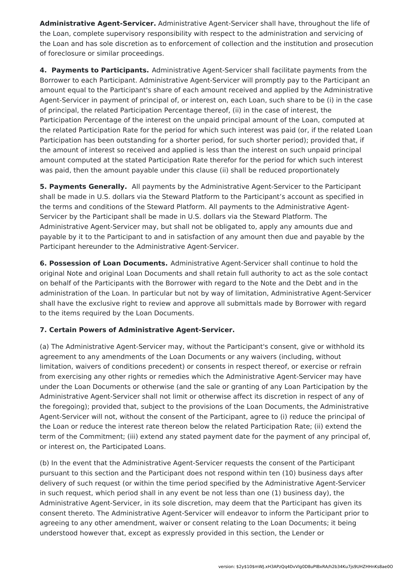**Administrative Agent-Servicer.** Administrative Agent-Servicer shall have, throughout the life of the Loan, complete supervisory responsibility with respect to the administration and servicing of the Loan and has sole discretion as to enforcement of collection and the institution and prosecution of foreclosure or similar proceedings.

**4. Payments to Participants.** Administrative Agent-Servicer shall facilitate payments from the Borrower to each Participant. Administrative Agent-Servicer will promptly pay to the Participant an amount equal to the Participant's share of each amount received and applied by the Administrative Agent-Servicer in payment of principal of, or interest on, each Loan, such share to be (i) in the case of principal, the related Participation Percentage thereof, (ii) in the case of interest, the Participation Percentage of the interest on the unpaid principal amount of the Loan, computed at the related Participation Rate for the period for which such interest was paid (or, if the related Loan Participation has been outstanding for a shorter period, for such shorter period); provided that, if the amount of interest so received and applied is less than the interest on such unpaid principal amount computed at the stated Participation Rate therefor for the period for which such interest was paid, then the amount payable under this clause (ii) shall be reduced proportionately

**5. Payments Generally.** All payments by the Administrative Agent-Servicer to the Participant shall be made in U.S. dollars via the Steward Platform to the Participant's account as specified in the terms and conditions of the Steward Platform. All payments to the Administrative Agent-Servicer by the Participant shall be made in U.S. dollars via the Steward Platform. The Administrative Agent-Servicer may, but shall not be obligated to, apply any amounts due and payable by it to the Participant to and in satisfaction of any amount then due and payable by the Participant hereunder to the Administrative Agent-Servicer.

**6. Possession of Loan Documents.** Administrative Agent-Servicer shall continue to hold the original Note and original Loan Documents and shall retain full authority to act as the sole contact on behalf of the Participants with the Borrower with regard to the Note and the Debt and in the administration of the Loan. In particular but not by way of limitation, Administrative Agent-Servicer shall have the exclusive right to review and approve all submittals made by Borrower with regard to the items required by the Loan Documents.

#### **7. Certain Powers of Administrative Agent-Servicer.**

(a) The Administrative Agent-Servicer may, without the Participant's consent, give or withhold its agreement to any amendments of the Loan Documents or any waivers (including, without limitation, waivers of conditions precedent) or consents in respect thereof, or exercise or refrain from exercising any other rights or remedies which the Administrative Agent-Servicer may have under the Loan Documents or otherwise (and the sale or granting of any Loan Participation by the Administrative Agent-Servicer shall not limit or otherwise affect its discretion in respect of any of the foregoing); provided that, subject to the provisions of the Loan Documents, the Administrative Agent-Servicer will not, without the consent of the Participant, agree to (i) reduce the principal of the Loan or reduce the interest rate thereon below the related Participation Rate; (ii) extend the term of the Commitment; (iii) extend any stated payment date for the payment of any principal of, or interest on, the Participated Loans.

(b) In the event that the Administrative Agent-Servicer requests the consent of the Participant pursuant to this section and the Participant does not respond within ten (10) business days after delivery of such request (or within the time period specified by the Administrative Agent-Servicer in such request, which period shall in any event be not less than one (1) business day), the Administrative Agent-Servicer, in its sole discretion, may deem that the Participant has given its consent thereto. The Administrative Agent-Servicer will endeavor to inform the Participant prior to agreeing to any other amendment, waiver or consent relating to the Loan Documents; it being understood however that, except as expressly provided in this section, the Lender or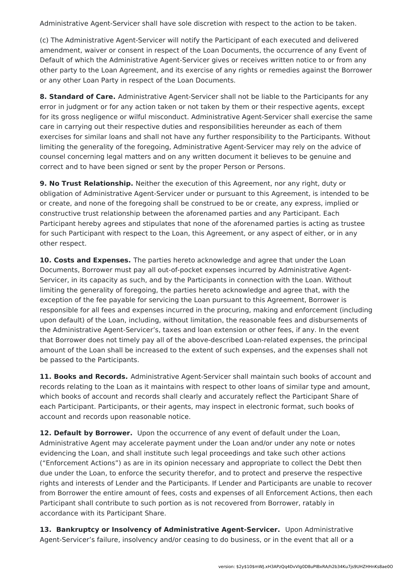Administrative Agent-Servicer shall have sole discretion with respect to the action to be taken.

(c) The Administrative Agent-Servicer will notify the Participant of each executed and delivered amendment, waiver or consent in respect of the Loan Documents, the occurrence of any Event of Default of which the Administrative Agent-Servicer gives or receives written notice to or from any other party to the Loan Agreement, and its exercise of any rights or remedies against the Borrower or any other Loan Party in respect of the Loan Documents.

**8. Standard of Care.** Administrative Agent-Servicer shall not be liable to the Participants for any error in judgment or for any action taken or not taken by them or their respective agents, except for its gross negligence or wilful misconduct. Administrative Agent-Servicer shall exercise the same care in carrying out their respective duties and responsibilities hereunder as each of them exercises for similar loans and shall not have any further responsibility to the Participants. Without limiting the generality of the foregoing, Administrative Agent-Servicer may rely on the advice of counsel concerning legal matters and on any written document it believes to be genuine and correct and to have been signed or sent by the proper Person or Persons.

**9. No Trust Relationship.** Neither the execution of this Agreement, nor any right, duty or obligation of Administrative Agent-Servicer under or pursuant to this Agreement, is intended to be or create, and none of the foregoing shall be construed to be or create, any express, implied or constructive trust relationship between the aforenamed parties and any Participant. Each Participant hereby agrees and stipulates that none of the aforenamed parties is acting as trustee for such Participant with respect to the Loan, this Agreement, or any aspect of either, or in any other respect.

**10. Costs and Expenses.** The parties hereto acknowledge and agree that under the Loan Documents, Borrower must pay all out-of-pocket expenses incurred by Administrative Agent-Servicer, in its capacity as such, and by the Participants in connection with the Loan. Without limiting the generality of foregoing, the parties hereto acknowledge and agree that, with the exception of the fee payable for servicing the Loan pursuant to this Agreement, Borrower is responsible for all fees and expenses incurred in the procuring, making and enforcement (including upon default) of the Loan, including, without limitation, the reasonable fees and disbursements of the Administrative Agent-Servicer's, taxes and loan extension or other fees, if any. In the event that Borrower does not timely pay all of the above-described Loan-related expenses, the principal amount of the Loan shall be increased to the extent of such expenses, and the expenses shall not be passed to the Participants.

**11. Books and Records.** Administrative Agent-Servicer shall maintain such books of account and records relating to the Loan as it maintains with respect to other loans of similar type and amount, which books of account and records shall clearly and accurately reflect the Participant Share of each Participant. Participants, or their agents, may inspect in electronic format, such books of account and records upon reasonable notice.

**12. Default by Borrower.** Upon the occurrence of any event of default under the Loan, Administrative Agent may accelerate payment under the Loan and/or under any note or notes evidencing the Loan, and shall institute such legal proceedings and take such other actions ("Enforcement Actions") as are in its opinion necessary and appropriate to collect the Debt then due under the Loan, to enforce the security therefor, and to protect and preserve the respective rights and interests of Lender and the Participants. If Lender and Participants are unable to recover from Borrower the entire amount of fees, costs and expenses of all Enforcement Actions, then each Participant shall contribute to such portion as is not recovered from Borrower, ratably in accordance with its Participant Share.

**13. Bankruptcy or Insolvency of Administrative Agent-Servicer.** Upon Administrative Agent-Servicer's failure, insolvency and/or ceasing to do business, or in the event that all or a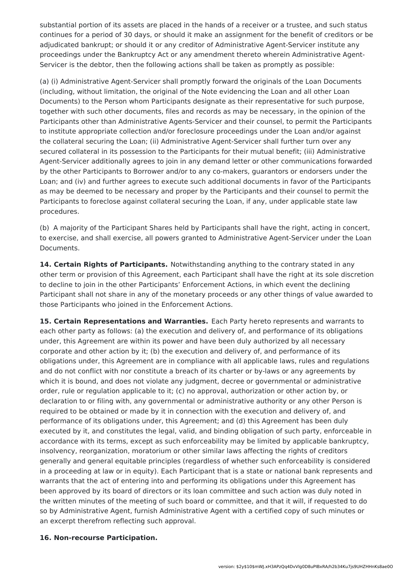substantial portion of its assets are placed in the hands of a receiver or a trustee, and such status continues for a period of 30 days, or should it make an assignment for the benefit of creditors or be adjudicated bankrupt; or should it or any creditor of Administrative Agent-Servicer institute any proceedings under the Bankruptcy Act or any amendment thereto wherein Administrative Agent-Servicer is the debtor, then the following actions shall be taken as promptly as possible:

(a) (i) Administrative Agent-Servicer shall promptly forward the originals of the Loan Documents (including, without limitation, the original of the Note evidencing the Loan and all other Loan Documents) to the Person whom Participants designate as their representative for such purpose, together with such other documents, files and records as may be necessary, in the opinion of the Participants other than Administrative Agents-Servicer and their counsel, to permit the Participants to institute appropriate collection and/or foreclosure proceedings under the Loan and/or against the collateral securing the Loan; (ii) Administrative Agent-Servicer shall further turn over any secured collateral in its possession to the Participants for their mutual benefit; (iii) Administrative Agent-Servicer additionally agrees to join in any demand letter or other communications forwarded by the other Participants to Borrower and/or to any co-makers, guarantors or endorsers under the Loan; and (iv) and further agrees to execute such additional documents in favor of the Participants as may be deemed to be necessary and proper by the Participants and their counsel to permit the Participants to foreclose against collateral securing the Loan, if any, under applicable state law procedures.

(b) A majority of the Participant Shares held by Participants shall have the right, acting in concert, to exercise, and shall exercise, all powers granted to Administrative Agent-Servicer under the Loan Documents.

**14. Certain Rights of Participants.** Notwithstanding anything to the contrary stated in any other term or provision of this Agreement, each Participant shall have the right at its sole discretion to decline to join in the other Participants' Enforcement Actions, in which event the declining Participant shall not share in any of the monetary proceeds or any other things of value awarded to those Participants who joined in the Enforcement Actions.

**15. Certain Representations and Warranties.** Each Party hereto represents and warrants to each other party as follows: (a) the execution and delivery of, and performance of its obligations under, this Agreement are within its power and have been duly authorized by all necessary corporate and other action by it; (b) the execution and delivery of, and performance of its obligations under, this Agreement are in compliance with all applicable laws, rules and regulations and do not conflict with nor constitute a breach of its charter or by-laws or any agreements by which it is bound, and does not violate any judgment, decree or governmental or administrative order, rule or regulation applicable to it; (c) no approval, authorization or other action by, or declaration to or filing with, any governmental or administrative authority or any other Person is required to be obtained or made by it in connection with the execution and delivery of, and performance of its obligations under, this Agreement; and (d) this Agreement has been duly executed by it, and constitutes the legal, valid, and binding obligation of such party, enforceable in accordance with its terms, except as such enforceability may be limited by applicable bankruptcy, insolvency, reorganization, moratorium or other similar laws affecting the rights of creditors generally and general equitable principles (regardless of whether such enforceability is considered in a proceeding at law or in equity). Each Participant that is a state or national bank represents and warrants that the act of entering into and performing its obligations under this Agreement has been approved by its board of directors or its loan committee and such action was duly noted in the written minutes of the meeting of such board or committee, and that it will, if requested to do so by Administrative Agent, furnish Administrative Agent with a certified copy of such minutes or an excerpt therefrom reflecting such approval.

#### **16. Non-recourse Participation.**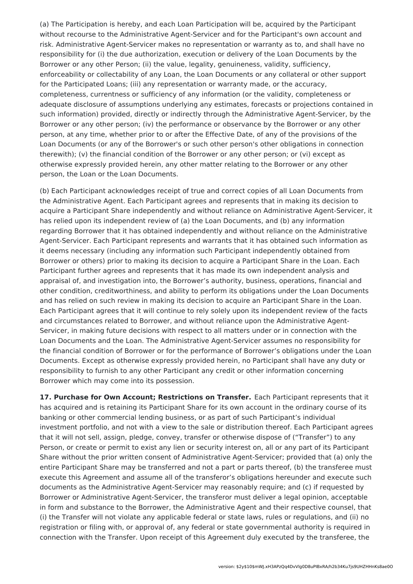(a) The Participation is hereby, and each Loan Participation will be, acquired by the Participant without recourse to the Administrative Agent-Servicer and for the Participant's own account and risk. Administrative Agent-Servicer makes no representation or warranty as to, and shall have no responsibility for (i) the due authorization, execution or delivery of the Loan Documents by the Borrower or any other Person; (ii) the value, legality, genuineness, validity, sufficiency, enforceability or collectability of any Loan, the Loan Documents or any collateral or other support for the Participated Loans; (iii) any representation or warranty made, or the accuracy, completeness, currentness or sufficiency of any information (or the validity, completeness or adequate disclosure of assumptions underlying any estimates, forecasts or projections contained in such information) provided, directly or indirectly through the Administrative Agent-Servicer, by the Borrower or any other person; (iv) the performance or observance by the Borrower or any other person, at any time, whether prior to or after the Effective Date, of any of the provisions of the Loan Documents (or any of the Borrower's or such other person's other obligations in connection therewith); (v) the financial condition of the Borrower or any other person; or (vi) except as otherwise expressly provided herein, any other matter relating to the Borrower or any other person, the Loan or the Loan Documents.

(b) Each Participant acknowledges receipt of true and correct copies of all Loan Documents from the Administrative Agent. Each Participant agrees and represents that in making its decision to acquire a Participant Share independently and without reliance on Administrative Agent-Servicer, it has relied upon its independent review of (a) the Loan Documents, and (b) any information regarding Borrower that it has obtained independently and without reliance on the Administrative Agent-Servicer. Each Participant represents and warrants that it has obtained such information as it deems necessary (including any information such Participant independently obtained from Borrower or others) prior to making its decision to acquire a Participant Share in the Loan. Each Participant further agrees and represents that it has made its own independent analysis and appraisal of, and investigation into, the Borrower's authority, business, operations, financial and other condition, creditworthiness, and ability to perform its obligations under the Loan Documents and has relied on such review in making its decision to acquire an Participant Share in the Loan. Each Participant agrees that it will continue to rely solely upon its independent review of the facts and circumstances related to Borrower, and without reliance upon the Administrative Agent-Servicer, in making future decisions with respect to all matters under or in connection with the Loan Documents and the Loan. The Administrative Agent-Servicer assumes no responsibility for the financial condition of Borrower or for the performance of Borrower's obligations under the Loan Documents. Except as otherwise expressly provided herein, no Participant shall have any duty or responsibility to furnish to any other Participant any credit or other information concerning Borrower which may come into its possession.

**17. Purchase for Own Account; Restrictions on Transfer.** Each Participant represents that it has acquired and is retaining its Participant Share for its own account in the ordinary course of its banking or other commercial lending business, or as part of such Participant's individual investment portfolio, and not with a view to the sale or distribution thereof. Each Participant agrees that it will not sell, assign, pledge, convey, transfer or otherwise dispose of ("Transfer") to any Person, or create or permit to exist any lien or security interest on, all or any part of its Participant Share without the prior written consent of Administrative Agent-Servicer; provided that (a) only the entire Participant Share may be transferred and not a part or parts thereof, (b) the transferee must execute this Agreement and assume all of the transferor's obligations hereunder and execute such documents as the Administrative Agent-Servicer may reasonably require; and (c) if requested by Borrower or Administrative Agent-Servicer, the transferor must deliver a legal opinion, acceptable in form and substance to the Borrower, the Administrative Agent and their respective counsel, that (i) the Transfer will not violate any applicable federal or state laws, rules or regulations, and (ii) no registration or filing with, or approval of, any federal or state governmental authority is required in connection with the Transfer. Upon receipt of this Agreement duly executed by the transferee, the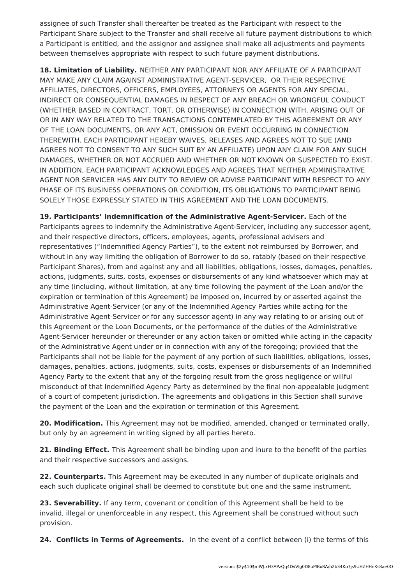assignee of such Transfer shall thereafter be treated as the Participant with respect to the Participant Share subject to the Transfer and shall receive all future payment distributions to which a Participant is entitled, and the assignor and assignee shall make all adjustments and payments between themselves appropriate with respect to such future payment distributions.

**18. Limitation of Liability.** NEITHER ANY PARTICIPANT NOR ANY AFFILIATE OF A PARTICIPANT MAY MAKE ANY CLAIM AGAINST ADMINISTRATIVE AGENT-SERVICER, OR THEIR RESPECTIVE AFFILIATES, DIRECTORS, OFFICERS, EMPLOYEES, ATTORNEYS OR AGENTS FOR ANY SPECIAL, INDIRECT OR CONSEQUENTIAL DAMAGES IN RESPECT OF ANY BREACH OR WRONGFUL CONDUCT (WHETHER BASED IN CONTRACT, TORT, OR OTHERWISE) IN CONNECTION WITH, ARISING OUT OF OR IN ANY WAY RELATED TO THE TRANSACTIONS CONTEMPLATED BY THIS AGREEMENT OR ANY OF THE LOAN DOCUMENTS, OR ANY ACT, OMISSION OR EVENT OCCURRING IN CONNECTION THEREWITH. EACH PARTICIPANT HEREBY WAIVES, RELEASES AND AGREES NOT TO SUE (AND AGREES NOT TO CONSENT TO ANY SUCH SUIT BY AN AFFILIATE) UPON ANY CLAIM FOR ANY SUCH DAMAGES, WHETHER OR NOT ACCRUED AND WHETHER OR NOT KNOWN OR SUSPECTED TO EXIST. IN ADDITION, EACH PARTICIPANT ACKNOWLEDGES AND AGREES THAT NEITHER ADMINISTRATIVE AGENT NOR SERVICER HAS ANY DUTY TO REVIEW OR ADVISE PARTICIPANT WITH RESPECT TO ANY PHASE OF ITS BUSINESS OPERATIONS OR CONDITION, ITS OBLIGATIONS TO PARTICIPANT BEING SOLELY THOSE EXPRESSLY STATED IN THIS AGREEMENT AND THE LOAN DOCUMENTS.

**19. Participants' Indemnification of the Administrative Agent-Servicer.** Each of the Participants agrees to indemnify the Administrative Agent-Servicer, including any successor agent, and their respective directors, officers, employees, agents, professional advisers and representatives ("Indemnified Agency Parties"), to the extent not reimbursed by Borrower, and without in any way limiting the obligation of Borrower to do so, ratably (based on their respective Participant Shares), from and against any and all liabilities, obligations, losses, damages, penalties, actions, judgments, suits, costs, expenses or disbursements of any kind whatsoever which may at any time (including, without limitation, at any time following the payment of the Loan and/or the expiration or termination of this Agreement) be imposed on, incurred by or asserted against the Administrative Agent-Servicer (or any of the Indemnified Agency Parties while acting for the Administrative Agent-Servicer or for any successor agent) in any way relating to or arising out of this Agreement or the Loan Documents, or the performance of the duties of the Administrative Agent-Servicer hereunder or thereunder or any action taken or omitted while acting in the capacity of the Administrative Agent under or in connection with any of the foregoing; provided that the Participants shall not be liable for the payment of any portion of such liabilities, obligations, losses, damages, penalties, actions, judgments, suits, costs, expenses or disbursements of an Indemnified Agency Party to the extent that any of the forgoing result from the gross negligence or willful misconduct of that Indemnified Agency Party as determined by the final non-appealable judgment of a court of competent jurisdiction. The agreements and obligations in this Section shall survive the payment of the Loan and the expiration or termination of this Agreement.

**20. Modification.** This Agreement may not be modified, amended, changed or terminated orally, but only by an agreement in writing signed by all parties hereto.

**21. Binding Effect.** This Agreement shall be binding upon and inure to the benefit of the parties and their respective successors and assigns.

**22. Counterparts.** This Agreement may be executed in any number of duplicate originals and each such duplicate original shall be deemed to constitute but one and the same instrument.

**23. Severability.** If any term, covenant or condition of this Agreement shall be held to be invalid, illegal or unenforceable in any respect, this Agreement shall be construed without such provision.

**24. Conflicts in Terms of Agreements.** In the event of a conflict between (i) the terms of this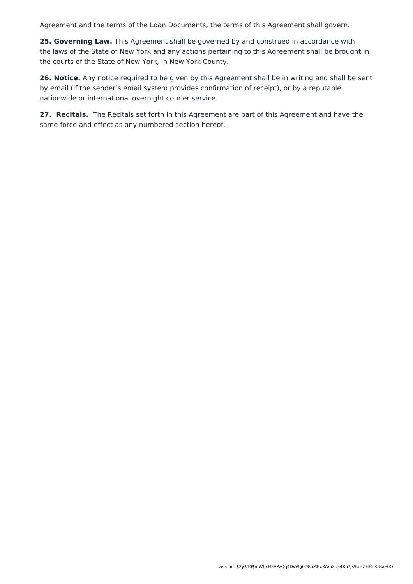Agreement and the terms of the Loan Documents, the terms of this Agreement shall govern.

**25. Governing Law.** This Agreement shall be governed by and construed in accordance with the laws of the State of New York and any actions pertaining to this Agreement shall be brought in the courts of the State of New York, in New York County.

**26. Notice.** Any notice required to be given by this Agreement shall be in writing and shall be sent by email (if the sender's email system provides confirmation of receipt), or by a reputable nationwide or international overnight courier service.

**27. Recitals.** The Recitals set forth in this Agreement are part of this Agreement and have the same force and effect as any numbered section hereof.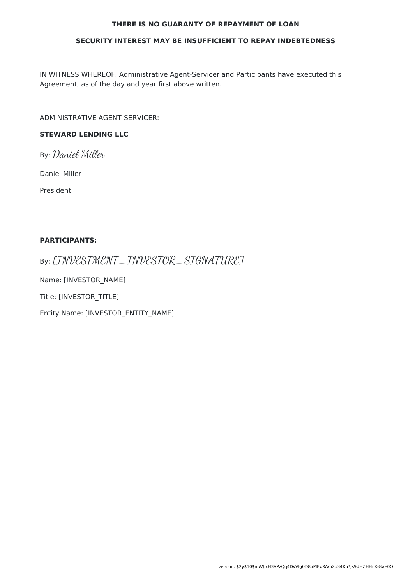#### **THERE IS NO GUARANTY OF REPAYMENT OF LOAN**

#### **SECURITY INTEREST MAY BE INSUFFICIENT TO REPAY INDEBTEDNESS**

IN WITNESS WHEREOF, Administrative Agent-Servicer and Participants have executed this Agreement, as of the day and year first above written.

ADMINISTRATIVE AGENT-SERVICER:

#### **STEWARD LENDING LLC**

By: Daniel Miller

Daniel Miller

President

#### **PARTICIPANTS:**

By: [INVESTMENT\_INVESTOR\_SIGNATURE]

Name: [INVESTOR\_NAME]

Title: [INVESTOR\_TITLE]

Entity Name: [INVESTOR\_ENTITY\_NAME]